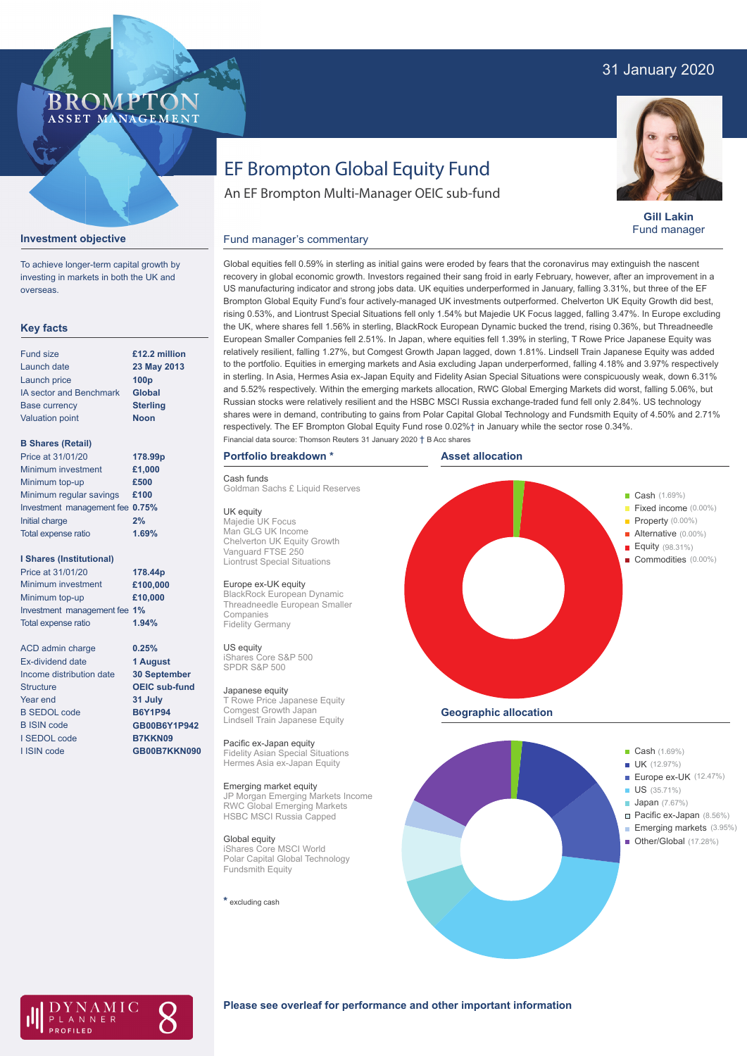# 31 January 2020

# BROMP ASSET MANAGEMENT

**Gill Lakin** Fund manager

# EF Brompton Global Equity Fund

An EF Brompton Multi-Manager OEIC sub-fund

#### Fund manager's commentary



To achieve longer-term capital growth by investing in markets in both the UK and overseas.

**Investment objective**

### **Key facts**

| Fund size                      | £12.2 million    |
|--------------------------------|------------------|
| Launch date                    | 23 May 2013      |
| Launch price                   | 100 <sub>p</sub> |
| <b>IA sector and Benchmark</b> | <b>Global</b>    |
| <b>Base currency</b>           | <b>Sterling</b>  |
| <b>Valuation point</b>         | <b>Noon</b>      |
|                                |                  |

#### **B Shares (Retail)**

| Price at 31/01/20               | 178.99p |
|---------------------------------|---------|
| Minimum investment              | £1,000  |
| Minimum top-up                  | £500    |
| Minimum regular savings         | £100    |
| Investment management fee 0.75% |         |
| Initial charge                  | 2%      |
| Total expense ratio             | 1.69%   |
|                                 |         |

#### **I Shares (Institutional)**

| Price at 31/01/20            | 178.44p  |
|------------------------------|----------|
| Minimum investment           | £100,000 |
| Minimum top-up               | £10,000  |
| Investment management fee 1% |          |
| Total expense ratio          | 1.94%    |

**0.25% 1 August 30 September OEIC sub-fund 31 July B6Y1P94 GB00B6Y1P942 B7KKN09 GB00B7KKN090**

ACD admin charge Ex-dividend date Income distribution date Structure Year end B SEDOL code B ISIN code I SEDOL code I ISIN code

recovery in global economic growth. Investors regained their sang froid in early February, however, after an improvement in a US manufacturing indicator and strong jobs data. UK equities underperformed in January, falling 3.31%, but three of the EF Brompton Global Equity Fund's four actively-managed UK investments outperformed. Chelverton UK Equity Growth did best, rising 0.53%, and Liontrust Special Situations fell only 1.54% but Majedie UK Focus lagged, falling 3.47%. In Europe excluding the UK, where shares fell 1.56% in sterling, BlackRock European Dynamic bucked the trend, rising 0.36%, but Threadneedle European Smaller Companies fell 2.51%. In Japan, where equities fell 1.39% in sterling, T Rowe Price Japanese Equity was relatively resilient, falling 1.27%, but Comgest Growth Japan lagged, down 1.81%. Lindsell Train Japanese Equity was added to the portfolio. Equities in emerging markets and Asia excluding Japan underperformed, falling 4.18% and 3.97% respectively in sterling. In Asia, Hermes Asia ex-Japan Equity and Fidelity Asian Special Situations were conspicuously weak, down 6.31% and 5.52% respectively. Within the emerging markets allocation, RWC Global Emerging Markets did worst, falling 5.06%, but Russian stocks were relatively resilient and the HSBC MSCI Russia exchange-traded fund fell only 2.84%. US technology shares were in demand, contributing to gains from Polar Capital Global Technology and Fundsmith Equity of 4.50% and 2.71% respectively. The EF Brompton Global Equity Fund rose 0.02%† in January while the sector rose 0.34%. Financial data source: Thomson Reuters 31 January 2020 † B Acc shares

Global equities fell 0.59% in sterling as initial gains were eroded by fears that the coronavirus may extinguish the nascent

## **Portfolio breakdown \***

#### Cash funds

Goldman Sachs £ Liquid Reserves

#### UK equity

Majedie UK Focus Man GLG UK Income Chelverton UK Equity Growth Vanguard FTSE 250 Liontrust Special Situations

#### Europe ex-UK equity

BlackRock European Dynamic Threadneedle European Smaller Companies Fidelity Germany

#### US equity

iShares Core S&P 500 SPDR S&P 500

#### Japanese equity

T Rowe Price Japanese Equity Comgest Growth Japan Lindsell Train Japanese Equity

Pacific ex-Japan equity Fidelity Asian Special Situations Hermes Asia ex-Japan Equity

#### Emerging market equity

JP Morgan Emerging Markets Income RWC Global Emerging Markets HSBC MSCI Russia Capped

Global equity iShares Core MSCI World Polar Capital Global Technology Fundsmith Equity

**\*** excluding cash





AMIC ANNER

### **Please see overleaf for performance and other important information**